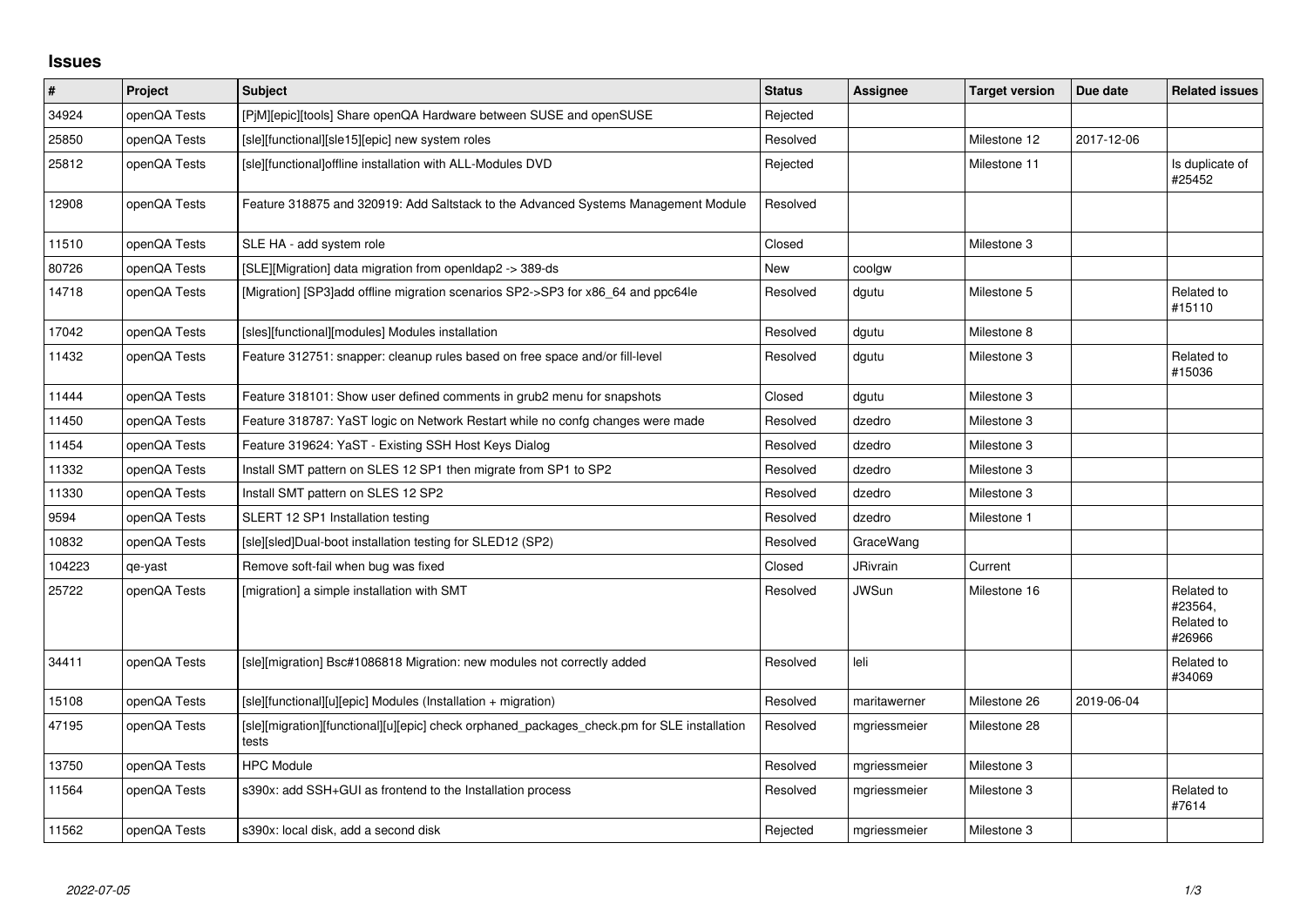## **Issues**

| $\vert$ # | Project      | <b>Subject</b>                                                                                       | <b>Status</b> | <b>Assignee</b> | <b>Target version</b> | Due date   | <b>Related issues</b>                         |
|-----------|--------------|------------------------------------------------------------------------------------------------------|---------------|-----------------|-----------------------|------------|-----------------------------------------------|
| 34924     | openQA Tests | [PjM][epic][tools] Share openQA Hardware between SUSE and openSUSE                                   | Rejected      |                 |                       |            |                                               |
| 25850     | openQA Tests | [sle][functional][sle15][epic] new system roles                                                      | Resolved      |                 | Milestone 12          | 2017-12-06 |                                               |
| 25812     | openQA Tests | [sle][functional]offline installation with ALL-Modules DVD                                           | Rejected      |                 | Milestone 11          |            | Is duplicate of<br>#25452                     |
| 12908     | openQA Tests | Feature 318875 and 320919: Add Saltstack to the Advanced Systems Management Module                   | Resolved      |                 |                       |            |                                               |
| 11510     | openQA Tests | SLE HA - add system role                                                                             | Closed        |                 | Milestone 3           |            |                                               |
| 80726     | openQA Tests | [SLE][Migration] data migration from openIdap2 -> 389-ds                                             | New           | coolgw          |                       |            |                                               |
| 14718     | openQA Tests | [Migration] [SP3]add offline migration scenarios SP2->SP3 for x86_64 and ppc64le                     | Resolved      | dgutu           | Milestone 5           |            | Related to<br>#15110                          |
| 17042     | openQA Tests | [sles][functional][modules] Modules installation                                                     | Resolved      | dgutu           | Milestone 8           |            |                                               |
| 11432     | openQA Tests | Feature 312751: snapper: cleanup rules based on free space and/or fill-level                         | Resolved      | dgutu           | Milestone 3           |            | Related to<br>#15036                          |
| 11444     | openQA Tests | Feature 318101: Show user defined comments in grub2 menu for snapshots                               | Closed        | dgutu           | Milestone 3           |            |                                               |
| 11450     | openQA Tests | Feature 318787: YaST logic on Network Restart while no confg changes were made                       | Resolved      | dzedro          | Milestone 3           |            |                                               |
| 11454     | openQA Tests | Feature 319624: YaST - Existing SSH Host Keys Dialog                                                 | Resolved      | dzedro          | Milestone 3           |            |                                               |
| 11332     | openQA Tests | Install SMT pattern on SLES 12 SP1 then migrate from SP1 to SP2                                      | Resolved      | dzedro          | Milestone 3           |            |                                               |
| 11330     | openQA Tests | Install SMT pattern on SLES 12 SP2                                                                   | Resolved      | dzedro          | Milestone 3           |            |                                               |
| 9594      | openQA Tests | SLERT 12 SP1 Installation testing                                                                    | Resolved      | dzedro          | Milestone 1           |            |                                               |
| 10832     | openQA Tests | [sle][sled]Dual-boot installation testing for SLED12 (SP2)                                           | Resolved      | GraceWang       |                       |            |                                               |
| 104223    | qe-yast      | Remove soft-fail when bug was fixed                                                                  | Closed        | JRivrain        | Current               |            |                                               |
| 25722     | openQA Tests | [migration] a simple installation with SMT                                                           | Resolved      | <b>JWSun</b>    | Milestone 16          |            | Related to<br>#23564,<br>Related to<br>#26966 |
| 34411     | openQA Tests | [sle][migration] Bsc#1086818 Migration: new modules not correctly added                              | Resolved      | leli            |                       |            | Related to<br>#34069                          |
| 15108     | openQA Tests | [sle][functional][u][epic] Modules (Installation + migration)                                        | Resolved      | maritawerner    | Milestone 26          | 2019-06-04 |                                               |
| 47195     | openQA Tests | [sle][migration][functional][u][epic] check orphaned packages_check.pm for SLE installation<br>tests | Resolved      | mgriessmeier    | Milestone 28          |            |                                               |
| 13750     | openQA Tests | <b>HPC Module</b>                                                                                    | Resolved      | mgriessmeier    | Milestone 3           |            |                                               |
| 11564     | openQA Tests | s390x: add SSH+GUI as frontend to the Installation process                                           | Resolved      | mgriessmeier    | Milestone 3           |            | Related to<br>#7614                           |
| 11562     | openQA Tests | s390x: local disk, add a second disk                                                                 | Rejected      | mgriessmeier    | Milestone 3           |            |                                               |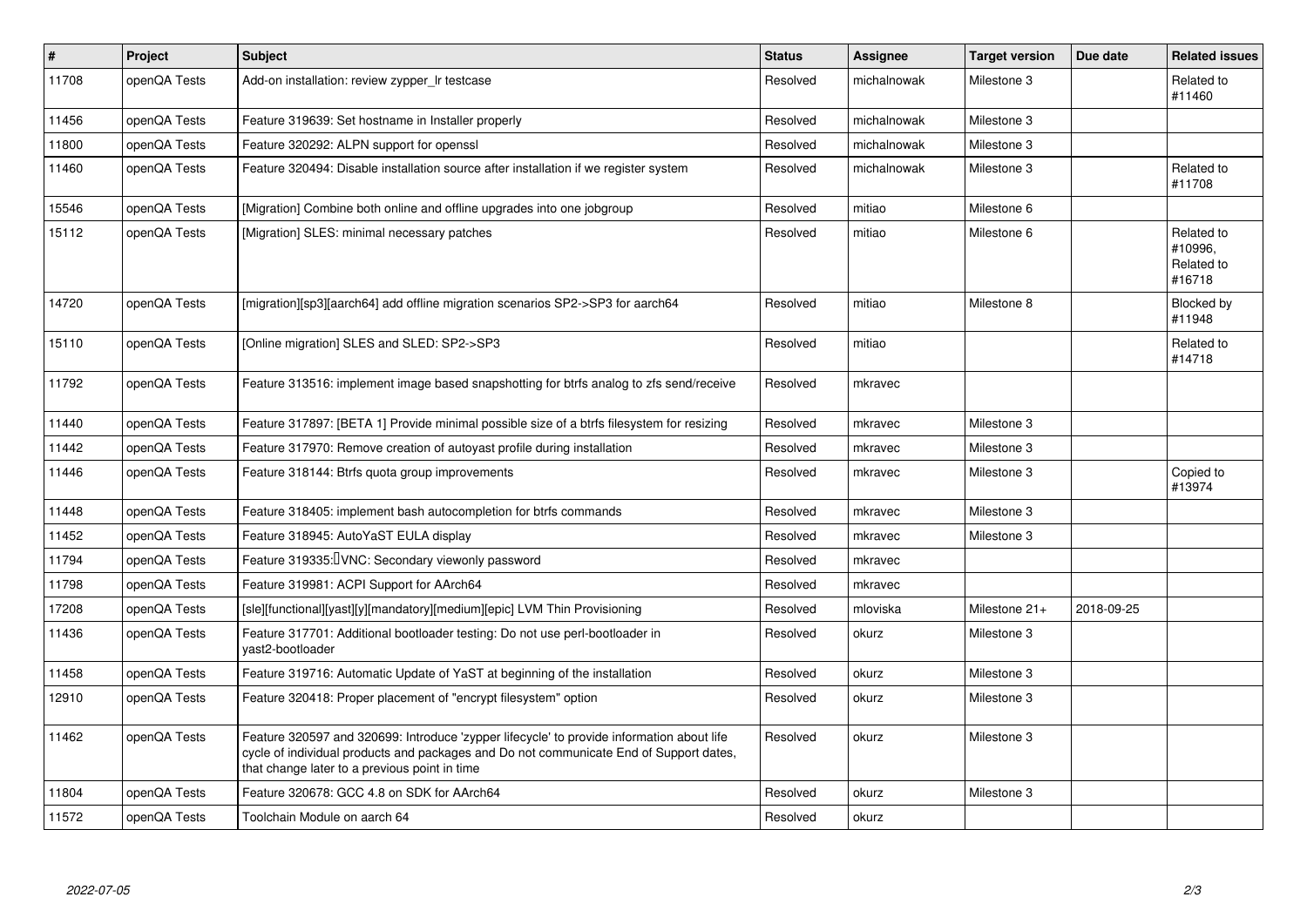| $\vert$ # | <b>Project</b> | <b>Subject</b>                                                                                                                                                                                                                       | <b>Status</b> | Assignee    | <b>Target version</b> | Due date   | <b>Related issues</b>                         |
|-----------|----------------|--------------------------------------------------------------------------------------------------------------------------------------------------------------------------------------------------------------------------------------|---------------|-------------|-----------------------|------------|-----------------------------------------------|
| 11708     | openQA Tests   | Add-on installation: review zypper Ir testcase                                                                                                                                                                                       | Resolved      | michalnowak | Milestone 3           |            | Related to<br>#11460                          |
| 11456     | openQA Tests   | Feature 319639: Set hostname in Installer properly                                                                                                                                                                                   | Resolved      | michalnowak | Milestone 3           |            |                                               |
| 11800     | openQA Tests   | Feature 320292: ALPN support for openssl                                                                                                                                                                                             | Resolved      | michalnowak | Milestone 3           |            |                                               |
| 11460     | openQA Tests   | Feature 320494: Disable installation source after installation if we register system                                                                                                                                                 | Resolved      | michalnowak | Milestone 3           |            | Related to<br>#11708                          |
| 15546     | openQA Tests   | [Migration] Combine both online and offline upgrades into one jobgroup                                                                                                                                                               | Resolved      | mitiao      | Milestone 6           |            |                                               |
| 15112     | openQA Tests   | [Migration] SLES: minimal necessary patches                                                                                                                                                                                          | Resolved      | mitiao      | Milestone 6           |            | Related to<br>#10996.<br>Related to<br>#16718 |
| 14720     | openQA Tests   | [migration][sp3][aarch64] add offline migration scenarios SP2->SP3 for aarch64                                                                                                                                                       | Resolved      | mitiao      | Milestone 8           |            | Blocked by<br>#11948                          |
| 15110     | openQA Tests   | [Online migration] SLES and SLED: SP2->SP3                                                                                                                                                                                           | Resolved      | mitiao      |                       |            | Related to<br>#14718                          |
| 11792     | openQA Tests   | Feature 313516: implement image based snapshotting for btrfs analog to zfs send/receive                                                                                                                                              | Resolved      | mkravec     |                       |            |                                               |
| 11440     | openQA Tests   | Feature 317897: [BETA 1] Provide minimal possible size of a btrfs filesystem for resizing                                                                                                                                            | Resolved      | mkravec     | Milestone 3           |            |                                               |
| 11442     | openQA Tests   | Feature 317970: Remove creation of autoyast profile during installation                                                                                                                                                              | Resolved      | mkravec     | Milestone 3           |            |                                               |
| 11446     | openQA Tests   | Feature 318144: Btrfs quota group improvements                                                                                                                                                                                       | Resolved      | mkravec     | Milestone 3           |            | Copied to<br>#13974                           |
| 11448     | openQA Tests   | Feature 318405: implement bash autocompletion for btrfs commands                                                                                                                                                                     | Resolved      | mkravec     | Milestone 3           |            |                                               |
| 11452     | openQA Tests   | Feature 318945: AutoYaST EULA display                                                                                                                                                                                                | Resolved      | mkravec     | Milestone 3           |            |                                               |
| 11794     | openQA Tests   | Feature 319335: IVNC: Secondary viewonly password                                                                                                                                                                                    | Resolved      | mkravec     |                       |            |                                               |
| 11798     | openQA Tests   | Feature 319981: ACPI Support for AArch64                                                                                                                                                                                             | Resolved      | mkravec     |                       |            |                                               |
| 17208     | openQA Tests   | [sle][functional][yast][y][mandatory][medium][epic] LVM Thin Provisioning                                                                                                                                                            | Resolved      | mloviska    | Milestone 21+         | 2018-09-25 |                                               |
| 11436     | openQA Tests   | Feature 317701: Additional bootloader testing: Do not use perl-bootloader in<br>yast2-bootloader                                                                                                                                     | Resolved      | okurz       | Milestone 3           |            |                                               |
| 11458     | openQA Tests   | Feature 319716: Automatic Update of YaST at beginning of the installation                                                                                                                                                            | Resolved      | okurz       | Milestone 3           |            |                                               |
| 12910     | openQA Tests   | Feature 320418: Proper placement of "encrypt filesystem" option                                                                                                                                                                      | Resolved      | okurz       | Milestone 3           |            |                                               |
| 11462     | openQA Tests   | Feature 320597 and 320699: Introduce 'zypper lifecycle' to provide information about life<br>cycle of individual products and packages and Do not communicate End of Support dates,<br>that change later to a previous point in time | Resolved      | okurz       | Milestone 3           |            |                                               |
| 11804     | openQA Tests   | Feature 320678: GCC 4.8 on SDK for AArch64                                                                                                                                                                                           | Resolved      | okurz       | Milestone 3           |            |                                               |
| 11572     | openQA Tests   | Toolchain Module on aarch 64                                                                                                                                                                                                         | Resolved      | okurz       |                       |            |                                               |